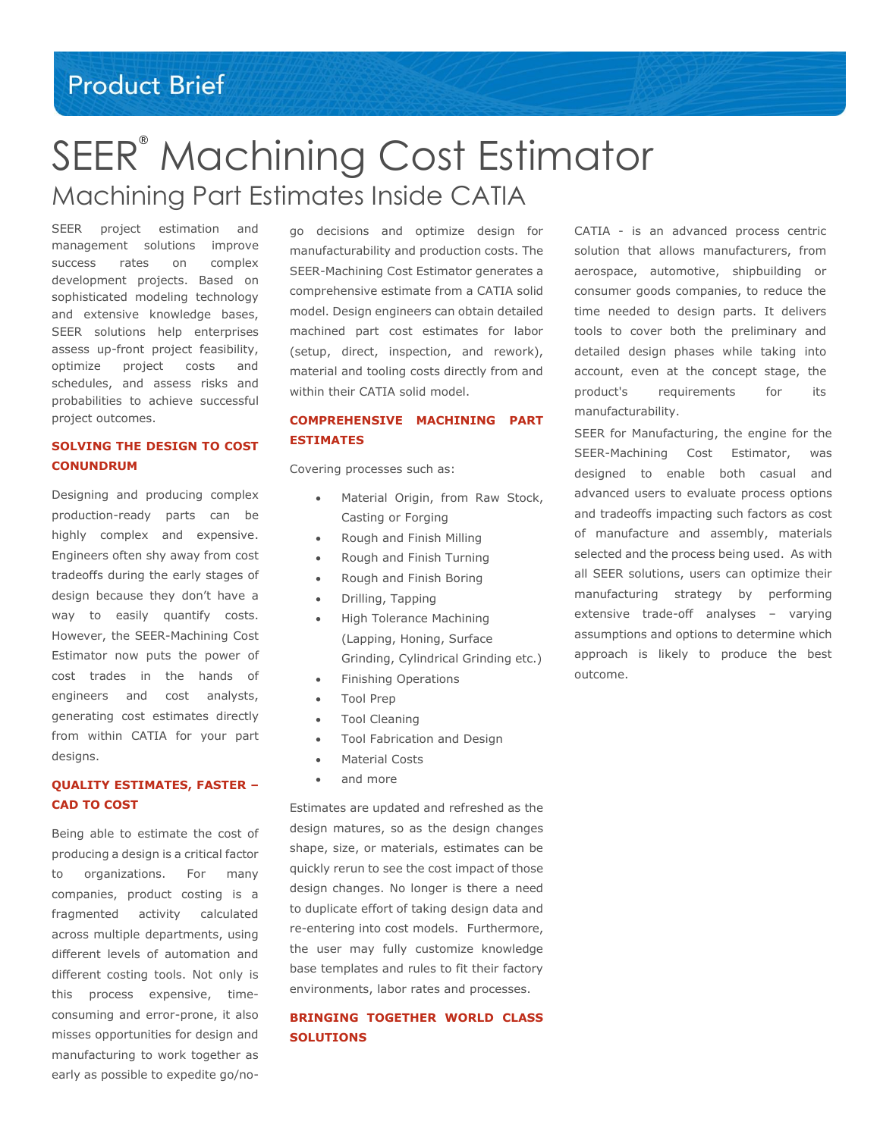# **Product Brief**

# SEER® Machining Cost Estimator Machining Part Estimates Inside CATIA

SEER project estimation and management solutions improve success rates on complex development projects. Based on sophisticated modeling technology and extensive knowledge bases, SEER solutions help enterprises assess up-front project feasibility, optimize project costs and schedules, and assess risks and probabilities to achieve successful project outcomes.

## **SOLVING THE DESIGN TO COST CONUNDRUM**

Designing and producing complex production-ready parts can be highly complex and expensive. Engineers often shy away from cost tradeoffs during the early stages of design because they don't have a way to easily quantify costs. However, the SEER-Machining Cost Estimator now puts the power of cost trades in the hands of engineers and cost analysts, generating cost estimates directly from within CATIA for your part designs.

#### **QUALITY ESTIMATES, FASTER – CAD TO COST**

Being able to estimate the cost of producing a design is a critical factor to organizations. For many companies, product costing is a fragmented activity calculated across multiple departments, using different levels of automation and different costing tools. Not only is this process expensive, timeconsuming and error-prone, it also misses opportunities for design and manufacturing to work together as early as possible to expedite go/nogo decisions and optimize design for manufacturability and production costs. The SEER-Machining Cost Estimator generates a comprehensive estimate from a CATIA solid model. Design engineers can obtain detailed machined part cost estimates for labor (setup, direct, inspection, and rework), material and tooling costs directly from and within their CATIA solid model.

## **COMPREHENSIVE MACHINING PART ESTIMATES**

Covering processes such as:

- Material Origin, from Raw Stock, Casting or Forging
- Rough and Finish Milling
- Rough and Finish Turning
- Rough and Finish Boring
- Drilling, Tapping
- High Tolerance Machining (Lapping, Honing, Surface Grinding, Cylindrical Grinding etc.)
- Finishing Operations
- Tool Prep
- Tool Cleaning
- Tool Fabrication and Design
- Material Costs
- and more

Estimates are updated and refreshed as the design matures, so as the design changes shape, size, or materials, estimates can be quickly rerun to see the cost impact of those design changes. No longer is there a need to duplicate effort of taking design data and re-entering into cost models. Furthermore, the user may fully customize knowledge base templates and rules to fit their factory environments, labor rates and processes.

## **BRINGING TOGETHER WORLD CLASS SOLUTIONS**

CATIA - is an advanced process centric solution that allows manufacturers, from aerospace, automotive, shipbuilding or consumer goods companies, to reduce the time needed to design parts. It delivers tools to cover both the preliminary and detailed design phases while taking into account, even at the concept stage, the product's requirements for its manufacturability.

SEER for Manufacturing, the engine for the SEER-Machining Cost Estimator, was designed to enable both casual and advanced users to evaluate process options and tradeoffs impacting such factors as cost of manufacture and assembly, materials selected and the process being used. As with all SEER solutions, users can optimize their manufacturing strategy by performing extensive trade-off analyses – varying assumptions and options to determine which approach is likely to produce the best outcome.